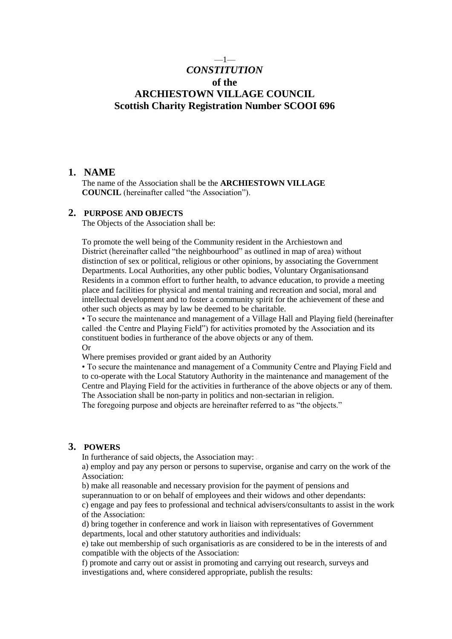# —1— *CONSTITUTION* **of the ARCHIESTOWN VILLAGE COUNCIL Scottish Charity Registration Number SCOOI 696**

#### **1. NAME**

The name of the Association shall be the **ARCHIESTOWN VILLAGE COUNCIL** (hereinafter called "the Association").

# **2. PURPOSE AND OBJECTS**

The Objects of the Association shall be:

To promote the well being of the Community resident in the Archiestown and District (hereinafter called "the neighbourhood" as outlined in map of area) without distinction of sex or political, religious or other opinions, by associating the Government Departments. Local Authorities, any other public bodies, Voluntary Organisationsand Residents in a common effort to further health, to advance education, to provide a meeting place and facilities for physical and mental training and recreation and social, moral and intellectual development and to foster a community spirit for the achievement of these and other such objects as may by law be deemed to be charitable.

• To secure the maintenance and management of a Village Hall and Playing field (hereinafter called the Centre and Playing Field") for activities promoted by the Association and its constituent bodies in furtherance of the above objects or any of them. Or

Where premises provided or grant aided by an Authority

• To secure the maintenance and management of a Community Centre and Playing Field and to co-operate with the Local Statutory Authority in the maintenance and management of the Centre and Playing Field for the activities in furtherance of the above objects or any of them. The Association shall be non-party in politics and non-sectarian in religion.

The foregoing purpose and objects are hereinafter referred to as "the objects."

#### **3. POWERS**

In furtherance of said objects, the Association may: -

a) employ and pay any person or persons to supervise, organise and carry on the work of the Association:

b) make all reasonable and necessary provision for the payment of pensions and superannuation to or on behalf of employees and their widows and other dependants:

c) engage and pay fees to professional and technical advisers/consultants to assist in the work of the Association:

d) bring together in conference and work in liaison with representatives of Government departments, local and other statutory authorities and individuals:

e) take out membership of such organisatioris as are considered to be in the interests of and compatible with the objects of the Association:

f) promote and carry out or assist in promoting and carrying out research, surveys and investigations and, where considered appropriate, publish the results: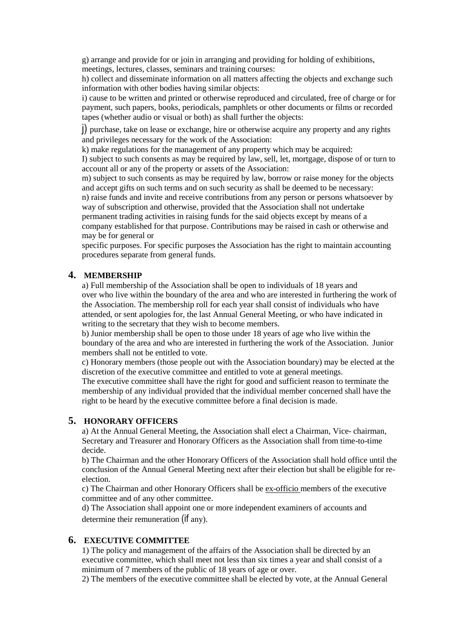g) arrange and provide for or join in arranging and providing for holding of exhibitions, meetings, lectures, classes, seminars and training courses:

h) collect and disseminate information on all matters affecting the objects and exchange such information with other bodies having similar objects:

i) cause to be written and printed or otherwise reproduced and circulated, free of charge or for payment, such papers, books, periodicals, pamphlets or other documents or films or recorded tapes (whether audio or visual or both) as shall further the objects:

j) purchase, take on lease or exchange, hire or otherwise acquire any property and any rights and privileges necessary for the work of the Association:

k) make regulations for the management of any property which may be acquired:

I) subject to such consents as may be required by law, sell, let, mortgage, dispose of or turn to account all or any of the property or assets of the Association:

m) subject to such consents as may be required by law, borrow or raise money for the objects and accept gifts on such terms and on such security as shall be deemed to be necessary:

n) raise funds and invite and receive contributions from any person or persons whatsoever by way of subscription and otherwise, provided that the Association shall not undertake

permanent trading activities in raising funds for the said objects except by means of a company established for that purpose. Contributions may be raised in cash or otherwise and may be for general or

specific purposes. For specific purposes the Association has the right to maintain accounting procedures separate from general funds.

# **4. MEMBERSHIP**

a) Full membership of the Association shall be open to individuals of 18 years and over who live within the boundary of the area and who are interested in furthering the work of the Association. The membership roll for each year shall consist of individuals who have attended, or sent apologies for, the last Annual General Meeting, or who have indicated in writing to the secretary that they wish to become members.

b) Junior membership shall be open to those under 18 years of age who live within the boundary of the area and who are interested in furthering the work of the Association. .Junior members shall not be entitled to vote.

c) Honorary members (those people out with the Association boundary) may be elected at the discretion of the executive committee and entitled to vote at general meetings.

The executive committee shall have the right for good and sufficient reason to terminate the membership of any individual provided that the individual member concerned shall have the right to be heard by the executive committee before a final decision is made.

#### **5. HONORARY OFFICERS**

a) At the Annual General Meeting, the Association shall elect a Chairman, Vice- chairman, Secretary and Treasurer and Honorary Officers as the Association shall from time-to-time decide.

b) The Chairman and the other Honorary Officers of the Association shall hold office until the conclusion of the Annual General Meeting next after their election but shall be eligible for reelection.

c) The Chairman and other Honorary Officers shall be ex-officio members of the executive committee and of any other committee.

d) The Association shall appoint one or more independent examiners of accounts and determine their remuneration (if any).

#### **6. EXECUTIVE COMMITTEE**

1) The policy and management of the affairs of the Association shall be directed by an executive committee, which shall meet not less than six times a year and shall consist of a minimum of 7 members of the public of 18 years of age or over.

2) The members of the executive committee shall be elected by vote, at the Annual General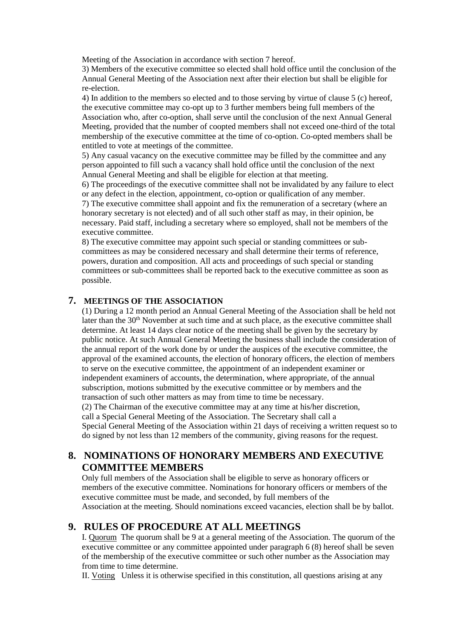Meeting of the Association in accordance with section 7 hereof.

3) Members of the executive committee so elected shall hold office until the conclusion of the Annual General Meeting of the Association next after their election but shall be eligible for re-election.

4) In addition to the members so elected and to those serving by virtue of clause 5 (c) hereof, the executive committee may co-opt up to 3 further members being full members of the Association who, after co-option, shall serve until the conclusion of the next Annual General Meeting, provided that the number of coopted members shall not exceed one-third of the total membership of the executive committee at the time of co-option. Co-opted members shall be entitled to vote at meetings of the committee.

5) Any casual vacancy on the executive committee may be filled by the committee and any person appointed to fill such a vacancy shall hold office until the conclusion of the next Annual General Meeting and shall be eligible for election at that meeting.

6) The proceedings of the executive committee shall not be invalidated by any failure to elect or any defect in the election, appointment, co-option or qualification of any member.

7) The executive committee shall appoint and fix the remuneration of a secretary (where an honorary secretary is not elected) and of all such other staff as may, in their opinion, be necessary. Paid staff, including a secretary where so employed, shall not be members of the executive committee.

8) The executive committee may appoint such special or standing committees or subcommittees as may be considered necessary and shall determine their terms of reference, powers, duration and composition. All acts and proceedings of such special or standing committees or sub-committees shall be reported back to the executive committee as soon as possible.

#### **7. MEETINGS OF THE ASSOCIATION**

(1) During a 12 month period an Annual General Meeting of the Association shall be held not later than the 30<sup>th</sup> November at such time and at such place, as the executive committee shall determine. At least 14 days clear notice of the meeting shall be given by the secretary by public notice. At such Annual General Meeting the business shall include the consideration of the annual report of the work done by or under the auspices of the executive committee, the approval of the examined accounts, the election of honorary officers, the election of members to serve on the executive committee, the appointment of an independent examiner or independent examiners of accounts, the determination, where appropriate, of the annual subscription, motions submitted by the executive committee or by members and the transaction of such other matters as may from time to time be necessary. (2) The Chairman of the executive committee may at any time at his/her discretion, call a Special General Meeting of the Association. The Secretary shall call a Special General Meeting of the Association within 21 days of receiving a written request so to do signed by not less than 12 members of the community, giving reasons for the request.

# **8. NOMINATIONS OF HONORARY MEMBERS AND EXECUTIVE COMMITTEE MEMBERS**

Only full members of the Association shall be eligible to serve as honorary officers or members of the executive committee. Nominations for honorary officers or members of the executive committee must be made, and seconded, by full members of the Association at the meeting. Should nominations exceed vacancies, election shall be by ballot.

# **9. RULES OF PROCEDURE AT ALL MEETINGS**

I. Quorum The quorum shall be 9 at a general meeting of the Association. The quorum of the executive committee or any committee appointed under paragraph 6 (8) hereof shall be seven of the membership of the executive committee or such other number as the Association may from time to time determine.

II. Voting Unless it is otherwise specified in this constitution, all questions arising at any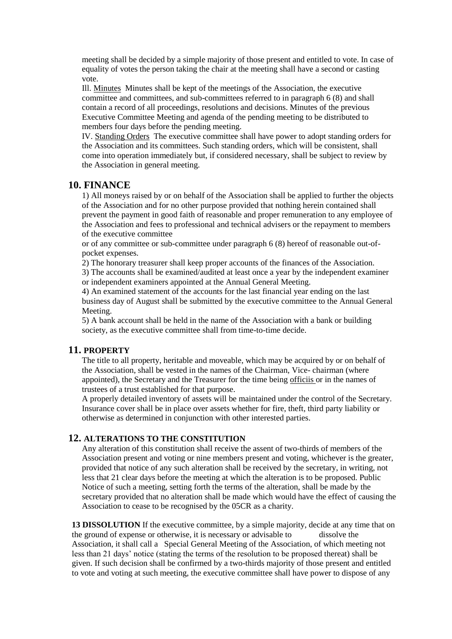meeting shall be decided by a simple majority of those present and entitled to vote. In case of equality of votes the person taking the chair at the meeting shall have a second or casting vote.

Ill. Minutes Minutes shall be kept of the meetings of the Association, the executive committee and committees, and sub-committees referred to in paragraph 6 (8) and shall contain a record of all proceedings, resolutions and decisions. Minutes of the previous Executive Committee Meeting and agenda of the pending meeting to be distributed to members four days before the pending meeting.

IV. Standing Orders The executive committee shall have power to adopt standing orders for the Association and its committees. Such standing orders, which will be consistent, shall come into operation immediately but, if considered necessary, shall be subject to review by the Association in general meeting.

# **10. FINANCE**

1) All moneys raised by or on behalf of the Association shall be applied to further the objects of the Association and for no other purpose provided that nothing herein contained shall prevent the payment in good faith of reasonable and proper remuneration to any employee of the Association and fees to professional and technical advisers or the repayment to members of the executive committee

or of any committee or sub-committee under paragraph 6 (8) hereof of reasonable out-ofpocket expenses.

2) The honorary treasurer shall keep proper accounts of the finances of the Association.

3) The accounts shall be examined/audited at least once a year by the independent examiner or independent examiners appointed at the Annual General Meeting.

4) An examined statement of the accounts for the last financial year ending on the last business day of August shall be submitted by the executive committee to the Annual General Meeting.

5) A bank account shall be held in the name of the Association with a bank or building society, as the executive committee shall from time-to-time decide.

# **11. PROPERTY**

The title to all property, heritable and moveable, which may be acquired by or on behalf of the Association, shall be vested in the names of the Chairman, Vice- chairman (where appointed), the Secretary and the Treasurer for the time being officiis or in the names of trustees of a trust established for that purpose.

A properly detailed inventory of assets will be maintained under the control of the Secretary. Insurance cover shall be in place over assets whether for fire, theft, third party liability or otherwise as determined in conjunction with other interested parties.

# **12. ALTERATIONS TO THE CONSTITUTION**

Any alteration of this constitution shall receive the assent of two-thirds of members of the Association present and voting or nine members present and voting, whichever is the greater, provided that notice of any such alteration shall be received by the secretary, in writing, not less that 21 clear days before the meeting at which the alteration is to be proposed. Public Notice of such a meeting, setting forth the terms of the alteration, shall be made by the secretary provided that no alteration shall be made which would have the effect of causing the Association to cease to be recognised by the 05CR as a charity.

**13 DISSOLUTION** If the executive committee, by a simple majority, decide at any time that on the ground of expense or otherwise, it is necessary or advisable to dissolve the Association, it shall call a Special General Meeting of the Association, of which meeting not less than 21 days' notice (stating the terms of the resolution to be proposed thereat) shall be given. If such decision shall be confirmed by a two-thirds majority of those present and entitled to vote and voting at such meeting, the executive committee shall have power to dispose of any